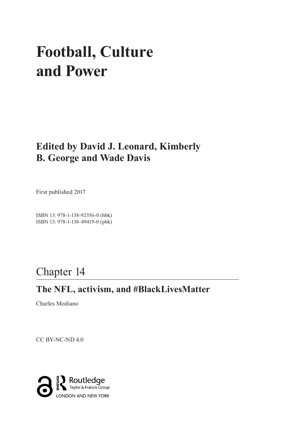# **Football, Culture and Power**

## **Edited by David J. Leonard, Kimberly B. George and Wade Davis**

First published 2017

ISBN 13: 978-1-138-92356-0 (hbk) ISBN 13: 978-1-138-49419-0 (pbk)

# Chapter 14

### **The NFL, activism, and #BlackLivesMatter**

Charles Modiano

CC BY-NC-ND 4.0

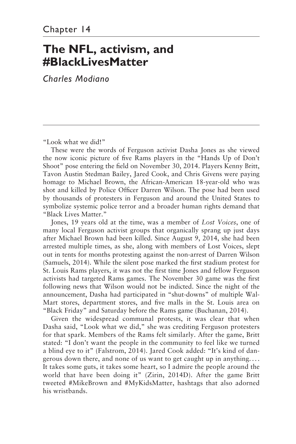# **The NFL, activism, and #BlackLivesMatter**

*Charles Modiano*

"Look what we did!"

These were the words of Ferguson activist Dasha Jones as she viewed the now iconic picture of five Rams players in the "Hands Up of Don't Shoot" pose entering the field on November 30, 2014. Players Kenny Britt, Tavon Austin Stedman Bailey, Jared Cook, and Chris Givens were paying homage to Michael Brown, the African-American 18-year-old who was shot and killed by Police Officer Darren Wilson. The pose had been used by thousands of protesters in Ferguson and around the United States to symbolize systemic police terror and a broader human rights demand that "Black Lives Matter."

Jones, 19 years old at the time, was a member of *Lost Voices*, one of many local Ferguson activist groups that organically sprang up just days after Michael Brown had been killed. Since August 9, 2014, she had been arrested multiple times, as she, along with members of Lost Voices, slept out in tents for months protesting against the non-arrest of Darren Wilson (Samuels, 2014). While the silent pose marked the first stadium protest for St. Louis Rams players, it was not the first time Jones and fellow Ferguson activists had targeted Rams games. The November 30 game was the first following news that Wilson would not be indicted. Since the night of the announcement, Dasha had participated in "shut-downs" of multiple Wal-Mart stores, department stores, and five malls in the St. Louis area on "Black Friday" and Saturday before the Rams game (Buchanan, 2014).

Given the widespread communal protests, it was clear that when Dasha said, "Look what we did," she was crediting Ferguson protesters for that spark. Members of the Rams felt similarly. After the game, Britt stated: "I don't want the people in the community to feel like we turned a blind eye to it" (Falstrom, 2014). Jared Cook added: "It's kind of dangerous down there, and none of us want to get caught up in anything. . . . It takes some guts, it takes some heart, so I admire the people around the world that have been doing it" (Zirin, 2014D). After the game Britt tweeted #MikeBrown and #MyKidsMatter, hashtags that also adorned his wristbands.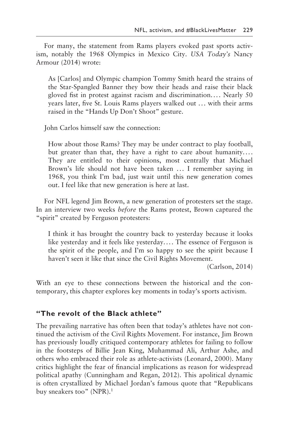For many, the statement from Rams players evoked past sports activism, notably the 1968 Olympics in Mexico City. *USA Today's* Nancy Armour (2014) wrote:

As [Carlos] and Olympic champion Tommy Smith heard the strains of the Star-Spangled Banner they bow their heads and raise their black gloved fist in protest against racism and discrimination.... Nearly 50 years later, five St. Louis Rams players walked out ... with their arms raised in the "Hands Up Don't Shoot" gesture.

John Carlos himself saw the connection:

How about those Rams? They may be under contract to play football, but greater than that, they have a right to care about humanity.... They are entitled to their opinions, most centrally that Michael Brown's life should not have been taken ... I remember saying in 1968, you think I'm bad, just wait until this new generation comes out. I feel like that new generation is here at last.

For NFL legend Jim Brown, a new generation of protesters set the stage. In an interview two weeks *before* the Rams protest, Brown captured the "spirit" created by Ferguson protesters:

I think it has brought the country back to yesterday because it looks like yesterday and it feels like yesterday.... The essence of Ferguson is the spirit of the people, and I'm so happy to see the spirit because I haven't seen it like that since the Civil Rights Movement.

(Carlson, 2014)

With an eye to these connections between the historical and the contemporary, this chapter explores key moments in today's sports activism.

#### **"The revolt of the Black athlete"**

The prevailing narrative has often been that today's athletes have not continued the activism of the Civil Rights Movement. For instance, Jim Brown has previously loudly critiqued contemporary athletes for failing to follow in the footsteps of Billie Jean King, Muhammad Ali, Arthur Ashe, and others who embraced their role as athlete-activists (Leonard, 2000). Many critics highlight the fear of financial implications as reason for widespread political apathy (Cunningham and Regan, 2012). This apolitical dynamic is often crystallized by Michael Jordan's famous quote that "Republicans buy sneakers too" (NPR).<sup>1</sup>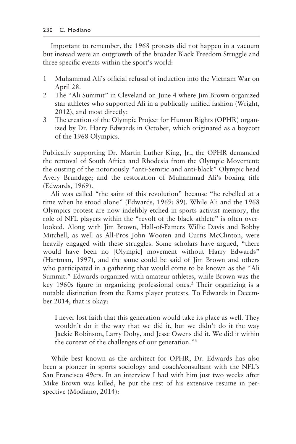Important to remember, the 1968 protests did not happen in a vacuum but instead were an outgrowth of the broader Black Freedom Struggle and three specific events within the sport's world:

- 1 Muhammad Ali's official refusal of induction into the Vietnam War on April 28.
- 2 The "Ali Summit" in Cleveland on June 4 where Jim Brown organized star athletes who supported Ali in a publically unified fashion (Wright, 2012), and most directly:
- 3 The creation of the Olympic Project for Human Rights (OPHR) organized by Dr. Harry Edwards in October, which originated as a boycott of the 1968 Olympics.

Publically supporting Dr. Martin Luther King, Jr., the OPHR demanded the removal of South Africa and Rhodesia from the Olympic Movement; the ousting of the notoriously "anti-Semitic and anti-black" Olympic head Avery Brundage; and the restoration of Muhammad Ali's boxing title (Edwards, 1969).

Ali was called "the saint of this revolution" because "he rebelled at a time when he stood alone" (Edwards, 1969: 89). While Ali and the 1968 Olympics protest are now indelibly etched in sports activist memory, the role of NFL players within the "revolt of the black athlete" is often overlooked. Along with Jim Brown, Hall-of-Famers Willie Davis and Bobby Mitchell, as well as All-Pros John Wooten and Curtis McClinton, were heavily engaged with these struggles. Some scholars have argued, "there would have been no [Olympic] movement without Harry Edwards" (Hartman, 1997), and the same could be said of Jim Brown and others who participated in a gathering that would come to be known as the "Ali Summit." Edwards organized with amateur athletes, while Brown was the key 1960s figure in organizing professional ones.<sup>2</sup> Their organizing is a notable distinction from the Rams player protests. To Edwards in December 2014, that is okay:

I never lost faith that this generation would take its place as well. They wouldn't do it the way that we did it, but we didn't do it the way Jackie Robinson, Larry Doby, and Jesse Owens did it. We did it within the context of the challenges of our generation."3

While best known as the architect for OPHR, Dr. Edwards has also been a pioneer in sports sociology and coach/consultant with the NFL's San Francisco 49ers. In an interview I had with him just two weeks after Mike Brown was killed, he put the rest of his extensive resume in perspective (Modiano, 2014):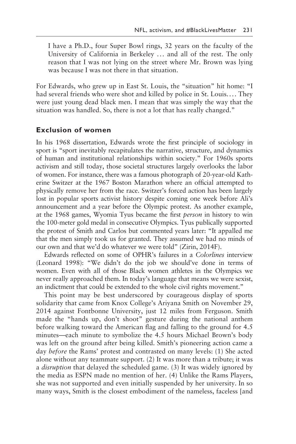I have a Ph.D., four Super Bowl rings, 32 years on the faculty of the University of California in Berkeley ... and all of the rest. The only reason that I was not lying on the street where Mr. Brown was lying was because I was not there in that situation.

For Edwards, who grew up in East St. Louis, the "situation" hit home: "I had several friends who were shot and killed by police in St. Louis.... They were just young dead black men. I mean that was simply the way that the situation was handled. So, there is not a lot that has really changed."

#### **Exclusion of women**

In his 1968 dissertation, Edwards wrote the first principle of sociology in sport is "sport inevitably recapitulates the narrative, structure, and dynamics of human and institutional relationships within society." For 1960s sports activism and still today, those societal structures largely overlooks the labor of women. For instance, there was a famous photograph of 20-year-old Katherine Switzer at the 1967 Boston Marathon where an official attempted to physically remove her from the race. Switzer's forced action has been largely lost in popular sports activist history despite coming one week before Ali's announcement and a year before the Olympic protest. As another example, at the 1968 games, Wyomia Tyus became the first *person* in history to win the 100-meter gold medal in consecutive Olympics. Tyus publically supported the protest of Smith and Carlos but commented years later: "It appalled me that the men simply took us for granted. They assumed we had no minds of our own and that we'd do whatever we were told" (Zirin, 2014F).

Edwards reflected on some of OPHR's failures in a *Colorlines* interview (Leonard 1998): "We didn't do the job we should've done in terms of women. Even with all of those Black women athletes in the Olympics we never really approached them. In today's language that means we were sexist, an indictment that could be extended to the whole civil rights movement."

This point may be best underscored by courageous display of sports solidarity that came from Knox College's Ariyana Smith on November 29, 2014 against Fontbonne University, just 12 miles from Ferguson. Smith made the "hands up, don't shoot" gesture during the national anthem before walking toward the American flag and falling to the ground for 4.5 minutes—each minute to symbolize the 4.5 hours Michael Brown's body was left on the ground after being killed. Smith's pioneering action came a day *before* the Rams' protest and contrasted on many levels: (1) She acted alone without any teammate support. (2) It was more than a tribute; it was a *disruption* that delayed the scheduled game. (3) It was widely ignored by the media as ESPN made no mention of her. (4) Unlike the Rams Players, she was not supported and even initially suspended by her university. In so many ways, Smith is the closest embodiment of the nameless, faceless [and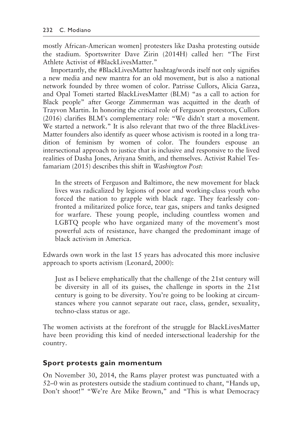mostly African-American women] protesters like Dasha protesting outside the stadium. Sportswriter Dave Zirin (2014H) called her: "The First Athlete Activist of #BlackLivesMatter."

Importantly, the #BlackLivesMatter hashtag/words itself not only signifies a new media and new mantra for an old movement, but is also a national network founded by three women of color. Patrisse Cullors, Alicia Garza, and Opal Tometi started BlackLivesMatter (BLM) "as a call to action for Black people" after George Zimmerman was acquitted in the death of Trayvon Martin. In honoring the critical role of Ferguson protestors, Cullors (2016) clarifies BLM's complementary role: "We didn't start a movement. We started a network." It is also relevant that two of the three BlackLives-Matter founders also identify as queer whose activism is rooted in a long tradition of feminism by women of color. The founders espouse an intersectional approach to justice that is inclusive and responsive to the lived realities of Dasha Jones, Ariyana Smith, and themselves. Activist Rahiel Tesfamariam (2015) describes this shift in *Washington Post*:

In the streets of Ferguson and Baltimore, the new movement for black lives was radicalized by legions of poor and working-class youth who forced the nation to grapple with black rage. They fearlessly confronted a militarized police force, tear gas, snipers and tanks designed for warfare. These young people, including countless women and LGBTQ people who have organized many of the movement's most powerful acts of resistance, have changed the predominant image of black activism in America.

Edwards own work in the last 15 years has advocated this more inclusive approach to sports activism (Leonard, 2000):

Just as I believe emphatically that the challenge of the 21st century will be diversity in all of its guises, the challenge in sports in the 21st century is going to be diversity. You're going to be looking at circumstances where you cannot separate out race, class, gender, sexuality, techno-class status or age.

The women activists at the forefront of the struggle for BlackLivesMatter have been providing this kind of needed intersectional leadership for the country.

#### **Sport protests gain momentum**

On November 30, 2014, the Rams player protest was punctuated with a 52–0 win as protesters outside the stadium continued to chant, "Hands up, Don't shoot!" "We're Are Mike Brown," and "This is what Democracy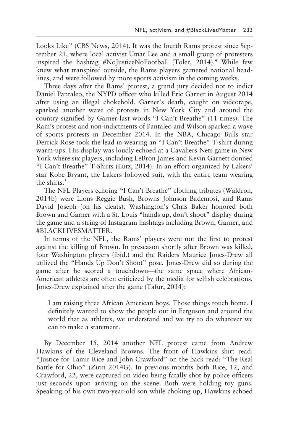Looks Like" (CBS News, 2014). It was the fourth Rams protest since September 21, where local activist Umar Lee and a small group of protesters inspired the hashtag #NoJusticeNoFootball (Toler, 2014).4 While few knew what transpired outside, the Rams players garnered national headlines, and were followed by more sports activism in the coming weeks.

Three days after the Rams' protest, a grand jury decided not to indict Daniel Pantaleo, the NYPD officer who killed Eric Garner in August 2014 after using an illegal chokehold. Garner's death, caught on videotape, sparked another wave of protests in New York City and around the country signified by Garner last words "I Can't Breathe" (11 times). The Ram's protest and non-indictments of Pantaleo and Wilson sparked a wave of sports protests in December 2014. In the NBA, Chicago Bulls star Derrick Rose took the lead in wearing an "I Can't Breathe" T-shirt during warm-ups. His display was loudly echoed at a Cavaliers-Nets game in New York where six players, including LeBron James and Kevin Garnett donned "I Can't Breathe" T-Shirts (Lutz, 2014). In an effort organized by Lakers' star Kobe Bryant, the Lakers followed suit, with the entire team wearing the shirts. $5$ 

The NFL Players echoing "I Can't Breathe" clothing tributes (Waldron, 2014b) were Lions Reggie Bush, Browns Johnson Bademosi, and Rams David Joseph (on his cleats). Washington's Chris Baker honored both Brown and Garner with a St. Louis "hands up, don't shoot" display during the game and a string of Instagram hashtags including Brown, Garner, and #BLACKLIVESMATTER.

In terms of the NFL, the Rams' players were not the first to protest against the killing of Brown. In preseason shortly after Brown was killed, four Washington players (ibid.) and the Raiders Maurice Jones-Drew all utilized the "Hands Up Don't Shoot" pose. Jones-Drew did so during the game after he scored a touchdown—the same space where African-American athletes are often criticized by the media for selfish celebrations. Jones-Drew explained after the game (Tafur, 2014):

I am raising three African American boys. Those things touch home. I definitely wanted to show the people out in Ferguson and around the world that as athletes, we understand and we try to do whatever we can to make a statement.

By December 15, 2014 another NFL protest came from Andrew Hawkins of the Cleveland Browns. The front of Hawkins shirt read: "Justice for Tamir Rice and John Crawford" on the back read: "The Real Battle for Ohio" (Zirin 2014G). In previous months both Rice, 12, and Crawford, 22, were captured on video being fatally shot by police officers just seconds upon arriving on the scene. Both were holding toy guns. Speaking of his own two-year-old son while choking up, Hawkins echoed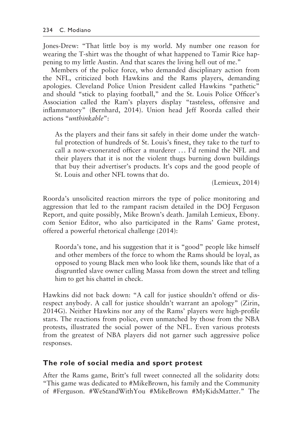Jones-Drew: "That little boy is my world. My number one reason for wearing the T-shirt was the thought of what happened to Tamir Rice happening to my little Austin. And that scares the living hell out of me."

Members of the police force, who demanded disciplinary action from the NFL, criticized both Hawkins and the Rams players, demanding apologies. Cleveland Police Union President called Hawkins "pathetic" and should "stick to playing football," and the St. Louis Police Officer's Association called the Ram's players display "tasteless, offensive and inflammatory" (Bernhard, 2014). Union head Jeff Roorda called their actions "*unthinkable*":

As the players and their fans sit safely in their dome under the watchful protection of hundreds of St. Louis's finest, they take to the turf to call a now-exonerated officer a murderer ... I'd remind the NFL and their players that it is not the violent thugs burning down buildings that buy their advertiser's products. It's cops and the good people of St. Louis and other NFL towns that do.

(Lemieux, 2014)

Roorda's unsolicited reaction mirrors the type of police monitoring and aggression that led to the rampant racism detailed in the DOJ Ferguson Report, and quite possibly, Mike Brown's death. Jamilah Lemieux, Ebony. com Senior Editor, who also participated in the Rams' Game protest, offered a powerful rhetorical challenge (2014):

Roorda's tone, and his suggestion that it is "good" people like himself and other members of the force to whom the Rams should be loyal, as opposed to young Black men who look like them, sounds like that of a disgruntled slave owner calling Massa from down the street and telling him to get his chattel in check.

Hawkins did not back down: "A call for justice shouldn't offend or disrespect anybody. A call for justice shouldn't warrant an apology" (Zirin, 2014G). Neither Hawkins nor any of the Rams' players were high-profile stars. The reactions from police, even unmatched by those from the NBA protests, illustrated the social power of the NFL. Even various protests from the greatest of NBA players did not garner such aggressive police responses.

#### **The role of social media and sport protest**

After the Rams game, Britt's full tweet connected all the solidarity dots: "This game was dedicated to #MikeBrown, his family and the Community of #Ferguson. #WeStandWithYou #MikeBrown #MyKidsMatter." The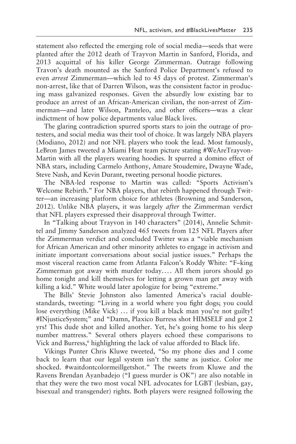statement also reflected the emerging role of social media—seeds that were planted after the 2012 death of Trayvon Martin in Sanford, Florida, and 2013 acquittal of his killer George Zimmerman. Outrage following Travon's death mounted as the Sanford Police Department's refused to even *arrest* Zimmerman—which led to 45 days of protest. Zimmerman's non-arrest, like that of Darren Wilson, was the consistent factor in producing mass galvanized responses. Given the absurdly low existing bar to produce an arrest of an African-American civilian, the non-arrest of Zimmerman—and later Wilson, Panteleo, and other officers—was a clear indictment of how police departments value Black lives.

The glaring contradiction spurred sports stars to join the outrage of protesters, and social media was their tool of choice. It was largely NBA players (Modiano, 2012) and not NFL players who took the lead. Most famously, LeBron James tweeted a Miami Heat team picture stating #WeAreTrayvon-Martin with all the players wearing hoodies. It spurred a domino effect of NBA stars, including Carmelo Anthony, Amare Stoudemire, Dwayne Wade, Steve Nash, and Kevin Durant, tweeting personal hoodie pictures.

The NBA-led response to Martin was called: "Sports Activism's Welcome Rebirth." For NBA players, that rebirth happened through Twitter—an increasing platform choice for athletes (Browning and Sanderson, 2012). Unlike NBA players, it was largely *after* the Zimmerman verdict that NFL players expressed their disapproval through Twitter.

In "Talking about Trayvon in 140 characters" (2014), Annelie Schmittel and Jimmy Sanderson analyzed 465 tweets from 125 NFL Players after the Zimmerman verdict and concluded Twitter was a "viable mechanism for African American and other minority athletes to engage in activism and initiate important conversations about social justice issues." Perhaps the most visceral reaction came from Atlanta Falcon's Roddy White: "F–king Zimmerman got away with murder today.... All them jurors should go home tonight and kill themselves for letting a grown man get away with killing a kid." White would later apologize for being "extreme."

The Bills' Stevie Johnston also lamented America's racial doublestandards, tweeting: "Living in a world where you fight dogs; you could lose everything (Mike Vick) ... if you kill a black man you're not guilty! #INjusticeSystem;" and "Damn, Plaxico Burress shot HIMSELF and got 2 yrs! This dude shot and killed another. Yet, he's going home to his sleep number mattress." Several others players echoed these comparisons to Vick and Burress,<sup>6</sup> highlighting the lack of value afforded to Black life.

Vikings Punter Chris Kluwe tweeted, "So my phone dies and I come back to learn that our legal system isn't the same as justice. Color me shocked. #waitdontcolormeillgetshot." The tweets from Kluwe and the Ravens Brendan Ayanbadejo ("I guess murder is OK") are also notable in that they were the two most vocal NFL advocates for LGBT (lesbian, gay, bisexual and transgender) rights. Both players were resigned following the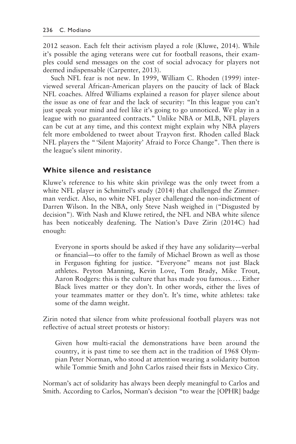2012 season. Each felt their activism played a role (Kluwe, 2014). While it's possible the aging veterans were cut for football reasons, their examples could send messages on the cost of social advocacy for players not deemed indispensable (Carpenter, 2013).

Such NFL fear is not new. In 1999, William C. Rhoden (1999) interviewed several African-American players on the paucity of lack of Black NFL coaches. Alfred Williams explained a reason for player silence about the issue as one of fear and the lack of security: "In this league you can't just speak your mind and feel like it's going to go unnoticed. We play in a league with no guaranteed contracts." Unlike NBA or MLB, NFL players can be cut at any time, and this context might explain why NBA players felt more emboldened to tweet about Trayvon first. Rhoden called Black NFL players the "'Silent Majority' Afraid to Force Change". Then there is the league's silent minority.

#### **White silence and resistance**

Kluwe's reference to his white skin privilege was the only tweet from a white NFL player in Schmittel's study (2014) that challenged the Zimmerman verdict. Also, no white NFL player challenged the non-indictment of Darren Wilson. In the NBA, only Steve Nash weighed in ("Disgusted by decision"). With Nash and Kluwe retired, the NFL and NBA white silence has been noticeably deafening. The Nation's Dave Zirin (2014C) had enough:

Everyone in sports should be asked if they have any solidarity—verbal or financial—to offer to the family of Michael Brown as well as those in Ferguson fighting for justice. "Everyone" means not just Black athletes. Peyton Manning, Kevin Love, Tom Brady, Mike Trout, Aaron Rodgers: this is the culture that has made you famous.... Either Black lives matter or they don't. In other words, either the lives of your teammates matter or they don't. It's time, white athletes: take some of the damn weight.

Zirin noted that silence from white professional football players was not reflective of actual street protests or history:

Given how multi-racial the demonstrations have been around the country, it is past time to see them act in the tradition of 1968 Olympian Peter Norman, who stood at attention wearing a solidarity button while Tommie Smith and John Carlos raised their fists in Mexico City.

Norman's act of solidarity has always been deeply meaningful to Carlos and Smith. According to Carlos, Norman's decision "to wear the [OPHR] badge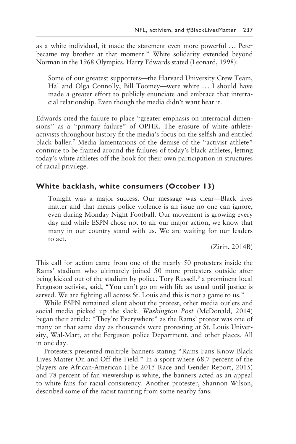as a white individual, it made the statement even more powerful ... Peter became my brother at that moment." White solidarity extended beyond Norman in the 1968 Olympics. Harry Edwards stated (Leonard, 1998):

Some of our greatest supporters—the Harvard University Crew Team, Hal and Olga Connolly, Bill Toomey—were white ... I should have made a greater effort to publicly enunciate and embrace that interracial relationship. Even though the media didn't want hear it.

Edwards cited the failure to place "greater emphasis on interracial dimensions" as a "primary failure" of OPHR. The erasure of white athleteactivists throughout history fit the media's focus on the selfish and entitled black baller.<sup>7</sup> Media lamentations of the demise of the "activist athlete" continue to be framed around the failures of today's black athletes, letting today's white athletes off the hook for their own participation in structures of racial privilege.

#### **White backlash, white consumers (October 13)**

Tonight was a major success. Our message was clear—Black lives matter and that means police violence is an issue no one can ignore, even during Monday Night Football. Our movement is growing every day and while ESPN chose not to air our major action, we know that many in our country stand with us. We are waiting for our leaders to act.

(Zirin, 2014B)

This call for action came from one of the nearly 50 protesters inside the Rams' stadium who ultimately joined 50 more protesters outside after being kicked out of the stadium by police. Tory Russell,<sup>8</sup> a prominent local Ferguson activist, said, "You can't go on with life as usual until justice is served. We are fighting all across St. Louis and this is not a game to us."

While ESPN remained silent about the protest, other media outlets and social media picked up the slack. *Washington Post* (McDonald, 2014) began their article: "They're Everywhere" as the Rams' protest was one of many on that same day as thousands were protesting at St. Louis University, Wal-Mart, at the Ferguson police Department, and other places. All in one day.

Protesters presented multiple banners stating "Rams Fans Know Black Lives Matter On and Off the Field." In a sport where 68.7 percent of the players are African-American (The 2015 Race and Gender Report, 2015) and 78 percent of fan viewership is white, the banners acted as an appeal to white fans for racial consistency. Another protester, Shannon Wilson, described some of the racist taunting from some nearby fans: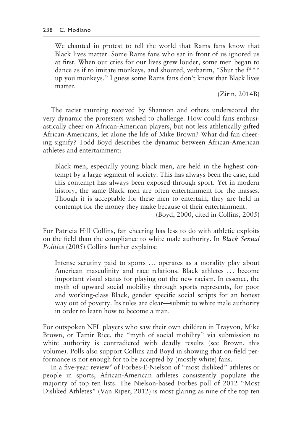We chanted in protest to tell the world that Rams fans know that Black lives matter. Some Rams fans who sat in front of us ignored us at first. When our cries for our lives grew louder, some men began to dance as if to imitate monkeys, and shouted, verbatim, "Shut the f\*\*\* up you monkeys." I guess some Rams fans don't know that Black lives matter.

(Zirin, 2014B)

The racist taunting received by Shannon and others underscored the very dynamic the protesters wished to challenge. How could fans enthusiastically cheer on African-American players, but not less athletically gifted African-Americans, let alone the life of Mike Brown? What did fan cheering signify? Todd Boyd describes the dynamic between African-American athletes and entertainment:

Black men, especially young black men, are held in the highest contempt by a large segment of society. This has always been the case, and this contempt has always been exposed through sport. Yet in modern history, the same Black men are often entertainment for the masses. Though it is acceptable for these men to entertain, they are held in contempt for the money they make because of their entertainment.

(Boyd, 2000, cited in Collins, 2005)

For Patricia Hill Collins, fan cheering has less to do with athletic exploits on the field than the compliance to white male authority. In *Black Sexual Politics* (2005) Collins further explains:

Intense scrutiny paid to sports ... operates as a morality play about American masculinity and race relations. Black athletes ... become important visual status for playing out the new racism. In essence, the myth of upward social mobility through sports represents, for poor and working-class Black, gender specific social scripts for an honest way out of poverty. Its rules are clear—submit to white male authority in order to learn how to become a man.

For outspoken NFL players who saw their own children in Trayvon, Mike Brown, or Tamir Rice, the "myth of social mobility" via submission to white authority is contradicted with deadly results (see Brown, this volume). Polls also support Collins and Boyd in showing that on-field performance is not enough for to be accepted by (mostly white) fans.

In a five-year review<sup>9</sup> of Forbes-E-Nielson of "most disliked" athletes or people in sports, African-American athletes consistently populate the majority of top ten lists. The Nielson-based Forbes poll of 2012 "Most Disliked Athletes" (Van Riper, 2012) is most glaring as nine of the top ten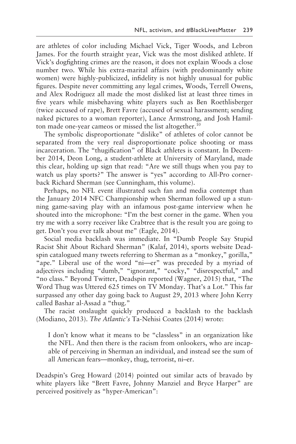are athletes of color including Michael Vick, Tiger Woods, and Lebron James. For the fourth straight year, Vick was the most disliked athlete. If Vick's dogfighting crimes are the reason, it does not explain Woods a close number two. While his extra-marital affairs (with predominantly white women) were highly-publicized, infidelity is not highly unusual for public figures. Despite never committing any legal crimes, Woods, Terrell Owens, and Alex Rodriguez all made the most disliked list at least three times in five years while misbehaving white players such as Ben Roethlisberger (twice accused of rape), Brett Favre (accused of sexual harassment; sending naked pictures to a woman reporter), Lance Armstrong, and Josh Hamilton made one-year cameos or missed the list altogether.<sup>10</sup>

The symbolic disproportionate "dislike" of athletes of color cannot be separated from the very real disproportionate police shooting or mass incarceration. The "thugification" of Black athletes is constant. In December 2014, Deon Long, a student-athlete at University of Maryland, made this clear, holding up sign that read: "Are we still thugs when you pay to watch us play sports?" The answer is "yes" according to All-Pro cornerback Richard Sherman (see Cunningham, this volume).

Perhaps, no NFL event illustrated such fan and media contempt than the January 2014 NFC Championship when Sherman followed up a stunning game-saving play with an infamous post-game interview when he shouted into the microphone: "I'm the best corner in the game. When you try me with a sorry receiver like Crabtree that is the result you are going to get. Don't you ever talk about me" (Eagle, 2014).

Social media backlash was immediate. In "Dumb People Say Stupid Racist Shit About Richard Sherman" (Kalaf, 2014), sports website Deadspin catalogued many tweets referring to Sherman as a "monkey," gorilla," "ape." Liberal use of the word "ni—er" was preceded by a myriad of adjectives including "dumb," "ignorant," "cocky," "disrespectful," and "no class." Beyond Twitter, Deadspin reported (Wagner, 2015) that, "The Word Thug was Uttered 625 times on TV Monday. That's a Lot." This far surpassed any other day going back to August 29, 2013 where John Kerry called Bashar al-Assad a "thug."

The racist onslaught quickly produced a backlash to the backlash (Modiano, 2013). *The Atlantic's* Ta-Nehisi Coates (2014) wrote:

I don't know what it means to be "classless" in an organization like the NFL. And then there is the racism from onlookers, who are incapable of perceiving in Sherman an individual, and instead see the sum of all American fears—monkey, thug, terrorist, ni–er.

Deadspin's Greg Howard (2014) pointed out similar acts of bravado by white players like "Brett Favre, Johnny Manziel and Bryce Harper" are perceived positively as "hyper-American":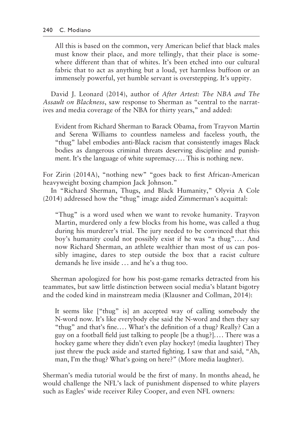All this is based on the common, very American belief that black males must know their place, and more tellingly, that their place is somewhere different than that of whites. It's been etched into our cultural fabric that to act as anything but a loud, yet harmless buffoon or an immensely powerful, yet humble servant is overstepping. It's uppity.

David J. Leonard (2014), author of *After Artest: The NBA and The Assault on Blackness*, saw response to Sherman as "central to the narratives and media coverage of the NBA for thirty years," and added:

Evident from Richard Sherman to Barack Obama, from Trayvon Martin and Serena Williams to countless nameless and faceless youth, the "thug" label embodies anti-Black racism that consistently images Black bodies as dangerous criminal threats deserving discipline and punishment. It's the language of white supremacy.... This is nothing new.

For Zirin (2014A), "nothing new" "goes back to first African-American heavyweight boxing champion Jack Johnson."

In "Richard Sherman, Thugs, and Black Humanity," Olyvia A Cole (2014) addressed how the "thug" image aided Zimmerman's acquittal:

"Thug" is a word used when we want to revoke humanity. Trayvon Martin, murdered only a few blocks from his home, was called a thug during his murderer's trial. The jury needed to be convinced that this boy's humanity could not possibly exist if he was "a thug".... And now Richard Sherman, an athlete wealthier than most of us can possibly imagine, dares to step outside the box that a racist culture demands he live inside ... and he's a thug too.

Sherman apologized for how his post-game remarks detracted from his teammates, but saw little distinction between social media's blatant bigotry and the coded kind in mainstream media (Klausner and Collman, 2014):

It seems like ["thug" is] an accepted way of calling somebody the N-word now. It's like everybody else said the N-word and then they say "thug" and that's fine.... What's the definition of a thug? Really? Can a guy on a football field just talking to people [be a thug?].... There was a hockey game where they didn't even play hockey! (media laughter) They just threw the puck aside and started fighting. I saw that and said, "Ah, man, I'm the thug? What's going on here?" (More media laughter).

Sherman's media tutorial would be the first of many. In months ahead, he would challenge the NFL's lack of punishment dispensed to white players such as Eagles' wide receiver Riley Cooper, and even NFL owners: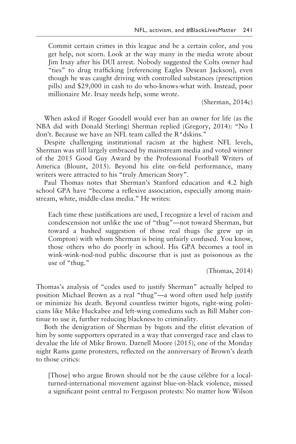Commit certain crimes in this league and be a certain color, and you get help, not scorn. Look at the way many in the media wrote about Jim Irsay after his DUI arrest. Nobody suggested the Colts owner had "ties" to drug trafficking [referencing Eagles Desean Jackson], even though he was caught driving with controlled substances (prescription pills) and \$29,000 in cash to do who-knows-what with. Instead, poor millionaire Mr. Irsay needs help, some wrote.

(Sherman, 2014c)

When asked if Roger Goodell would ever ban an owner for life (as the NBA did with Donald Sterling) Sherman replied (Gregory, 2014): "No I don't. Because we have an NFL team called the R\*dskins."

Despite challenging institutional racism at the highest NFL levels, Sherman was still largely embraced by mainstream media and voted winner of the 2015 Good Guy Award by the Professional Football Writers of America (Blount, 2015). Beyond his elite on-field performance, many writers were attracted to his "truly American Story".

Paul Thomas notes that Sherman's Stanford education and 4.2 high school GPA have "become a reflexive association, especially among mainstream, white, middle-class media." He writes:

Each time these justifications are used, I recognize a level of racism and condescension not unlike the use of "thug"—not toward Sherman, but toward a hushed suggestion of those real thugs (he grew up in Compton) with whom Sherman is being unfairly confused. You know, those others who do poorly in school. His GPA becomes a tool in wink-wink-nod-nod public discourse that is just as poisonous as the use of "thug."

(Thomas, 2014)

Thomas's analysis of "codes used to justify Sherman" actually helped to position Michael Brown as a real "thug"—a word often used help justify or minimize his death. Beyond countless twitter bigots, right-wing politicians like Mike Huckabee and left-wing comedians such as Bill Maher continue to use it, further reducing blackness to criminality.

Both the denigration of Sherman by bigots and the elitist elevation of him by some supporters operated in a way that converged race and class to devalue the life of Mike Brown. Darnell Moore (2015), one of the Monday night Rams game protesters, reflected on the anniversary of Brown's death to those critics:

[Those] who argue Brown should not be the cause célèbre for a localturned-international movement against blue-on-black violence, missed a significant point central to Ferguson protests: No matter how Wilson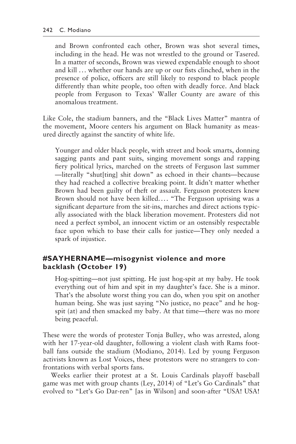and Brown confronted each other, Brown was shot several times, including in the head. He was not wrestled to the ground or Tasered. In a matter of seconds, Brown was viewed expendable enough to shoot and kill ... whether our hands are up or our fists clinched, when in the presence of police, officers are still likely to respond to black people differently than white people, too often with deadly force. And black people from Ferguson to Texas' Waller County are aware of this anomalous treatment.

Like Cole, the stadium banners, and the "Black Lives Matter" mantra of the movement, Moore centers his argument on Black humanity as measured directly against the sanctity of white life.

Younger and older black people, with street and book smarts, donning sagging pants and pant suits, singing movement songs and rapping fiery political lyrics, marched on the streets of Ferguson last summer —literally "shut[ting] shit down" as echoed in their chants—because they had reached a collective breaking point. It didn't matter whether Brown had been guilty of theft or assault. Ferguson protesters knew Brown should not have been killed.... "The Ferguson uprising was a significant departure from the sit-ins, marches and direct actions typically associated with the black liberation movement. Protesters did not need a perfect symbol, an innocent victim or an ostensibly respectable face upon which to base their calls for justice—They only needed a spark of injustice.

#### **#SAYHERNAME—misogynist violence and more backlash (October 19)**

Hog-spitting—not just spitting. He just hog-spit at my baby. He took everything out of him and spit in my daughter's face. She is a minor. That's the absolute worst thing you can do, when you spit on another human being. She was just saying "No justice, no peace" and he hogspit (at) and then smacked my baby. At that time—there was no more being peaceful.

These were the words of protester Tonja Bulley, who was arrested, along with her 17-year-old daughter, following a violent clash with Rams football fans outside the stadium (Modiano, 2014). Led by young Ferguson activists known as Lost Voices, these protestors were no strangers to confrontations with verbal sports fans.

Weeks earlier their protest at a St. Louis Cardinals playoff baseball game was met with group chants (Ley, 2014) of "Let's Go Cardinals" that evolved to "Let's Go Dar-ren" [as in Wilson] and soon-after "USA! USA!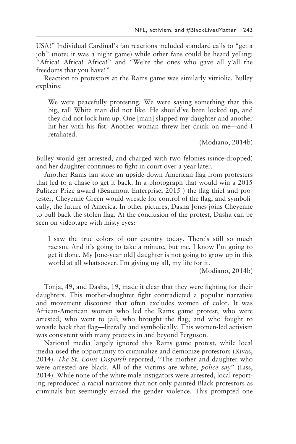USA!" Individual Cardinal's fan reactions included standard calls to "get a job" (note: it was a night game) while other fans could be heard yelling: "Africa! Africa! Africa!" and "We're the ones who gave all y'all the freedoms that you have!"

Reaction to protestors at the Rams game was similarly vitriolic. Bulley explains:

We were peacefully protesting. We were saying something that this big, tall White man did not like. He should've been locked up, and they did not lock him up. One [man] slapped my daughter and another hit her with his fist. Another woman threw her drink on me—and I retaliated.

(Modiano, 2014b)

Bulley would get arrested, and charged with two felonies (since-dropped) and her daughter continues to fight in court over a year later.

Another Rams fan stole an upside-down American flag from protesters that led to a chase to get it back. In a photograph that would win a 2015 Pulitzer Prize award (Beaumont Enterprise, 2015 ) the flag thief and protester, Cheyenne Green would wrestle for control of the flag, and symbolically, the future of America. In other pictures, Dasha Jones joins Cheyenne to pull back the stolen flag. At the conclusion of the protest, Dasha can be seen on videotape with misty eyes:

I saw the true colors of our country today. There's still so much racism. And it's going to take a minute, but me, I know I'm going to get it done. My [one-year old] daughter is not going to grow up in this world at all whatsoever. I'm giving my all, my life for it.

(Modiano, 2014b)

Tonja, 49, and Dasha, 19, made it clear that they were fighting for their daughters. This mother-daughter fight contradicted a popular narrative and movement discourse that often excludes women of color. It was African-American women who led the Rams game protest; who were arrested; who went to jail; who brought the flag; and who fought to wrestle back that flag—literally and symbolically. This women-led activism was consistent with many protests in and beyond Ferguson.

National media largely ignored this Rams game protest, while local media used the opportunity to criminalize and demonize protestors (Rivas, 2014). *The St. Louis Dispatch* reported, "The mother and daughter who were arrested are black. All of the victims are white, *police say*" (Liss, 2014). While none of the white male instigators were arrested, local reporting reproduced a racial narrative that not only painted Black protestors as criminals but seemingly erased the gender violence. This prompted one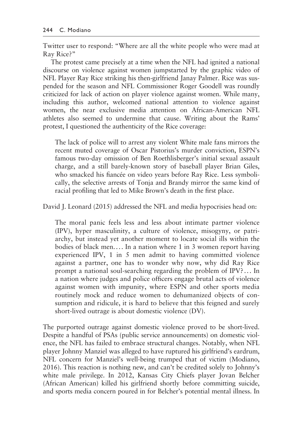Twitter user to respond: "Where are all the white people who were mad at Ray Rice?"

The protest came precisely at a time when the NFL had ignited a national discourse on violence against women jumpstarted by the graphic video of NFL Player Ray Rice striking his then-girlfriend Janay Palmer. Rice was suspended for the season and NFL Commissioner Roger Goodell was roundly criticized for lack of action on player violence against women. While many, including this author, welcomed national attention to violence against women, the near exclusive media attention on African-American NFL athletes also seemed to undermine that cause. Writing about the Rams' protest, I questioned the authenticity of the Rice coverage:

The lack of police will to arrest any violent White male fans mirrors the recent muted coverage of Oscar Pistorius's murder conviction, ESPN's famous two-day omission of Ben Roethlisberger's initial sexual assault charge, and a still barely-known story of baseball player Brian Giles, who smacked his fiancée on video years before Ray Rice. Less symbolically, the selective arrests of Tonja and Brandy mirror the same kind of racial profiling that led to Mike Brown's death in the first place.

David J. Leonard (2015) addressed the NFL and media hypocrisies head on:

The moral panic feels less and less about intimate partner violence (IPV), hyper masculinity, a culture of violence, misogyny, or patriarchy, but instead yet another moment to locate social ills within the bodies of black men.... In a nation where 1 in 3 women report having experienced IPV, 1 in 5 men admit to having committed violence against a partner, one has to wonder why now, why did Ray Rice prompt a national soul-searching regarding the problem of IPV? ... In a nation where judges and police officers engage brutal acts of violence against women with impunity, where ESPN and other sports media routinely mock and reduce women to dehumanized objects of consumption and ridicule, it is hard to believe that this feigned and surely short-lived outrage is about domestic violence (DV).

The purported outrage against domestic violence proved to be short-lived. Despite a handful of PSAs (public service announcements) on domestic violence, the NFL has failed to embrace structural changes. Notably, when NFL player Johnny Manziel was alleged to have ruptured his girlfriend's eardrum, NFL concern for Manziel's well-being trumped that of victim (Modiano, 2016). This reaction is nothing new, and can't be credited solely to Johnny's white male privilege. In 2012, Kansas City Chiefs player Jovan Belcher (African American) killed his girlfriend shortly before committing suicide, and sports media concern poured in for Belcher's potential mental illness. In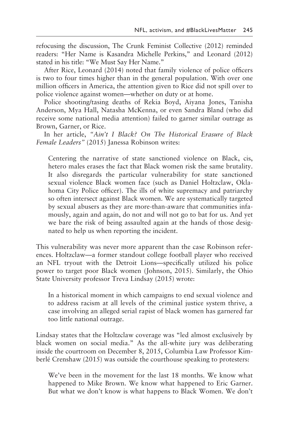refocusing the discussion, The Crunk Feminist Collective (2012) reminded readers: "Her Name is Kasandra Michelle Perkins," and Leonard (2012) stated in his title: "We Must Say Her Name."

After Rice, Leonard (2014) noted that family violence of police officers is two to four times higher than in the general population. With over one million officers in America, the attention given to Rice did not spill over to police violence against women—whether on duty or at home.

Police shooting/tasing deaths of Rekia Boyd, Aiyana Jones, Tanisha Anderson, Mya Hall, Natasha McKenna, or even Sandra Bland (who did receive some national media attention) failed to garner similar outrage as Brown, Garner, or Rice.

In her article, *"Ain't I Black? On The Historical Erasure of Black Female Leaders"* (2015) Janessa Robinson writes:

Centering the narrative of state sanctioned violence on Black, cis, hetero males erases the fact that Black women risk the same brutality. It also disregards the particular vulnerability for state sanctioned sexual violence Black women face (such as Daniel Holtzclaw, Oklahoma City Police officer). The ills of white supremacy and patriarchy so often intersect against Black women. We are systematically targeted by sexual abusers as they are more-than-aware that communities infamously, again and again, do not and will not go to bat for us. And yet we bare the risk of being assaulted again at the hands of those designated to help us when reporting the incident.

This vulnerability was never more apparent than the case Robinson references. Holtzclaw—a former standout college football player who received an NFL tryout with the Detroit Lions—specifically utilized his police power to target poor Black women (Johnson, 2015). Similarly, the Ohio State University professor Treva Lindsay (2015) wrote:

In a historical moment in which campaigns to end sexual violence and to address racism at all levels of the criminal justice system thrive, a case involving an alleged serial rapist of black women has garnered far too little national outrage.

Lindsay states that the Holtzclaw coverage was "led almost exclusively by black women on social media." As the all-white jury was deliberating inside the courtroom on December 8, 2015, Columbia Law Professor Kimberlé Crenshaw (2015) was outside the courthouse speaking to protesters:

We've been in the movement for the last 18 months. We know what happened to Mike Brown. We know what happened to Eric Garner. But what we don't know is what happens to Black Women. We don't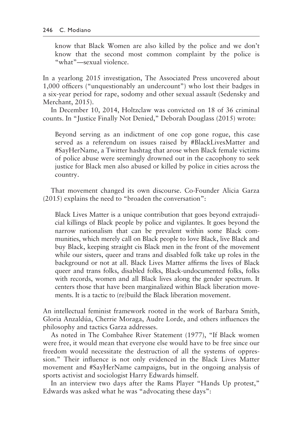know that Black Women are also killed by the police and we don't know that the second most common complaint by the police is "what"—sexual violence.

In a yearlong 2015 investigation, The Associated Press uncovered about 1,000 officers ("unquestionably an undercount") who lost their badges in a six-year period for rape, sodomy and other sexual assault (Sedensky and Merchant, 2015).

In December 10, 2014, Holtzclaw was convicted on 18 of 36 criminal counts. In "Justice Finally Not Denied," Deborah Douglass (2015) wrote:

Beyond serving as an indictment of one cop gone rogue, this case served as a referendum on issues raised by #BlackLivesMatter and #SayHerName, a Twitter hashtag that arose when Black female victims of police abuse were seemingly drowned out in the cacophony to seek justice for Black men also abused or killed by police in cities across the country.

That movement changed its own discourse. Co-Founder Alicia Garza (2015) explains the need to "broaden the conversation":

Black Lives Matter is a unique contribution that goes beyond extrajudicial killings of Black people by police and vigilantes. It goes beyond the narrow nationalism that can be prevalent within some Black communities, which merely call on Black people to love Black, live Black and buy Black, keeping straight cis Black men in the front of the movement while our sisters, queer and trans and disabled folk take up roles in the background or not at all. Black Lives Matter affirms the lives of Black queer and trans folks, disabled folks, Black-undocumented folks, folks with records, women and all Black lives along the gender spectrum. It centers those that have been marginalized within Black liberation movements. It is a tactic to (re)build the Black liberation movement.

An intellectual feminist framework rooted in the work of Barbara Smith, Gloria Anzaldúa, Cherrie Moraga, Audre Lorde, and others influences the philosophy and tactics Garza addresses.

As noted in The Combahee River Statement (1977), "If Black women were free, it would mean that everyone else would have to be free since our freedom would necessitate the destruction of all the systems of oppression." Their influence is not only evidenced in the Black Lives Matter movement and #SayHerName campaigns, but in the ongoing analysis of sports activist and sociologist Harry Edwards himself.

In an interview two days after the Rams Player "Hands Up protest," Edwards was asked what he was "advocating these days":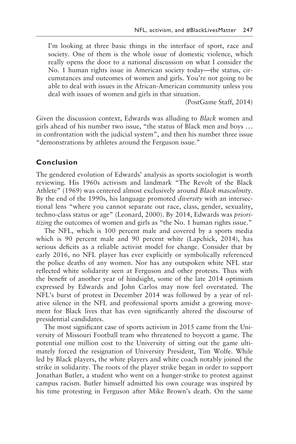I'm looking at three basic things in the interface of sport, race and society. One of them is the whole issue of domestic violence, which really opens the door to a national discussion on what I consider the No. 1 human rights issue in American society today—the status, circumstances and outcomes of women and girls. You're not going to be able to deal with issues in the African-American community unless you deal with issues of women and girls in that situation.

(PostGame Staff, 2014)

Given the discussion context, Edwards was alluding to *Black* women and girls ahead of his number two issue, "the status of Black men and boys ... in confrontation with the judicial system", and then his number three issue "demonstrations by athletes around the Ferguson issue."

#### **Conclusion**

The gendered evolution of Edwards' analysis as sports sociologist is worth reviewing. His 1960s activism and landmark "The Revolt of the Black Athlete" (1969) was centered almost exclusively around *Black masculinity*. By the end of the 1990s, his language promoted *diversity* with an intersectional lens "where you cannot separate out race, class, gender, sexuality, techno-class status or age" (Leonard, 2000). By 2014, Edwards was *prioritizing* the outcomes of women and girls as "the No. 1 human rights issue."

The NFL, which is 100 percent male and covered by a sports media which is 90 percent male and 90 percent white (Lapchick, 2014), has serious deficits as a reliable activist model for change. Consider that by early 2016, no NFL player has ever explicitly or symbolically referenced the police deaths of any women. Nor has any outspoken white NFL star reflected white solidarity seen at Ferguson and other protests. Thus with the benefit of another year of hindsight, some of the late 2014 optimism expressed by Edwards and John Carlos may now feel overstated. The NFL's burst of protest in December 2014 was followed by a year of relative silence in the NFL and professional sports amidst a growing movement for Black lives that has even significantly altered the discourse of presidential candidates.

The most significant case of sports activism in 2015 came from the University of Missouri Football team who threatened to boycott a game. The potential one million cost to the University of sitting out the game ultimately forced the resignation of University President, Tim Wolfe. While led by Black players, the white players and white coach notably joined the strike in solidarity. The roots of the player strike began in order to support Jonathan Butler, a student who went on a hunger-strike to protest against campus racism. Butler himself admitted his own courage was inspired by his time protesting in Ferguson after Mike Brown's death. On the same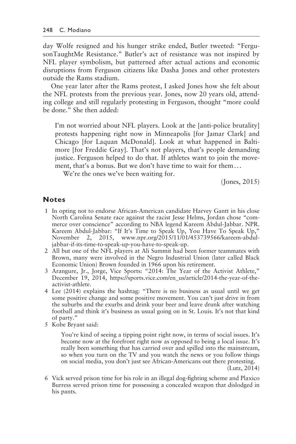day Wolfe resigned and his hunger strike ended, Butler tweeted: "FergusonTaughtMe Resistance." Butler's act of resistance was not inspired by NFL player symbolism, but patterned after actual actions and economic disruptions from Ferguson citizens like Dasha Jones and other protesters outside the Rams stadium.

One year later after the Rams protest, I asked Jones how she felt about the NFL protests from the previous year. Jones, now 20 years old, attending college and still regularly protesting in Ferguson, thought "more could be done." She then added:

I'm not worried about NFL players. Look at the [anti-police brutality] protests happening right now in Minneapolis [for Jamar Clark] and Chicago [for Laquan McDonald]. Look at what happened in Baltimore [for Freddie Gray]. That's not players, that's people demanding justice. Ferguson helped to do that. If athletes want to join the movement, that's a bonus. But we don't have time to wait for them...

We're the ones we've been waiting for.

(Jones, 2015)

#### **Notes**

- 1 In opting not to endorse African-American candidate Harvey Gantt in his close North Carolina Senate race against the racist Jesse Helms, Jordan chose "commerce over conscience" according to NBA legend Kareem Abdul-Jabbar. NPR. Kareem Abdul-Jabbar: "If It's Time to Speak Up, You Have To Speak Up," November 2, 2015, www.npr.org/2015/11/01/453739566/kareem-abduljabbar-if-its-time-to-speak-up-you-have-to-speak-up.
- 2 All but one of the NFL players at Ali Summit had been former teammates with Brown, many were involved in the Negro Industrial Union (later called Black Economic Union) Brown founded in 1966 upon his retirement.
- 3 Arangure, Jr., Jorge, Vice Sports: "2014: The Year of the Activist Athlete," December 19, 2014, https://sports.vice.com/en\_us/article/2014-the-year-of-theactivist-athlete.
- 4 Lee (2014) explains the hashtag: "There is no business as usual until we get some positive change and some positive movement. You can't just drive in from the suburbs and the exurbs and drink your beer and leave drunk after watching football and think it's business as usual going on in St. Louis. It's not that kind of party."
- 5 Kobe Bryant said:

You're kind of seeing a tipping point right now, in terms of social issues. It's become now at the forefront right now as opposed to being a local issue. It's really been something that has carried over and spilled into the mainstream, so when you turn on the TV and you watch the news or you follow things on social media, you don't just see African-Americans out there protesting.

(Lutz, 2014)

 6 Vick served prison time for his role in an illegal dog-fighting scheme and Plaxico Burress served prison time for possessing a concealed weapon that dislodged in his pants.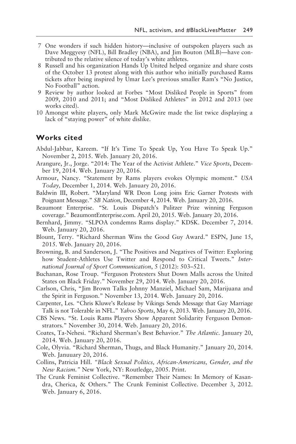- 7 One wonders if such hidden history—inclusive of outspoken players such as Dave Meggyesy (NFL), Bill Bradley (NBA), and Jim Bouton (MLB)—have contributed to the relative silence of today's white athletes.
- 8 Russell and his organization Hands Up United helped organize and share costs of the October 13 protest along with this author who initially purchased Rams tickets after being inspired by Umar Lee's previous smaller Ram's "No Justice, No Football" action.
- 9 Review by author looked at Forbes "Most Disliked People in Sports" from 2009, 2010 and 2011; and "Most Disliked Athletes" in 2012 and 2013 (see works cited).
- 10 Amongst white players, only Mark McGwire made the list twice displaying a lack of "staying power" of white dislike.

#### **Works cited**

- Abdul-Jabbar, Kareem. "If It's Time To Speak Up, You Have To Speak Up." November 2, 2015. Web. January 20, 2016.
- Arangure, Jr., Jorge. "2014: The Year of the Activist Athlete." *Vice Sports*, December 19, 2014. Web. January 20, 2016.
- Armour, Nancy. "Statement by Rams players evokes Olympic moment." *USA Today,* December 1, 2014. Web. January 20, 2016.
- Baldwin III, Robert. "Maryland WR Deon Long joins Eric Garner Protests with Poignant Message." *SB Nation*, December 4, 2014. Web. January 20, 2016.
- Beaumont Enterprise. "St. Louis Dispatch's Pulitzer Prize winning Ferguson coverage." BeaumontEnterprise.com. April 20, 2015. Web. January 20, 2016.
- Bernhard, Jimmy. "SLPOA condemns Rams display." KDSK. December 7, 2014. Web. January 20, 2016.
- Blount, Terry. "Richard Sherman Wins the Good Guy Award." ESPN, June 15, 2015. Web. January 20, 2016.
- Browning, B. and Sanderson, J. "The Positives and Negatives of Twitter: Exploring how Student-Athletes Use Twitter and Respond to Critical Tweets." *International Journal of Sport Communication*, 5 (2012): 503–521.
- Buchanan, Rose Troup. "Ferguson Protesters Shut Down Malls across the United States on Black Friday." November 29, 2014. Web. January 20, 2016.
- Carlson, Chris, "Jim Brown Talks Johnny Manziel, Michael Sam, Marijuana and the Spirit in Ferguson." November 13, 2014. Web. January 20, 2016.
- Carpenter, Les. "Chris Kluwe's Release by Vikings Sends Message that Gay Marriage Talk is not Tolerable in NFL." *Yahoo Sports*, May 6, 2013. Web. January 20, 2016.
- CBS News. "St. Louis Rams Players Show Apparent Solidarity Ferguson Demonstrators." November 30, 2014. Web. January 20, 2016.
- Coates, Ta-Nehesi. "Richard Sherman's Best Behavior." *The Atlantic*. January 20, 2014. Web. January 20, 2016.
- Cole, Olyvia. "Richard Sherman, Thugs, and Black Humanity." January 20, 2014. Web. Januuary 20, 2016.
- Collins, Patricia Hill. *"Black Sexual Politics, African-Americans, Gender, and the New Racism."* New York, NY: Routledge, 2005. Print.
- The Crunk Feminist Collective. "Remember Their Names: In Memory of Kasandra, Cherica, & Others." The Crunk Feminist Collective. December 3, 2012. Web. January 6, 2016.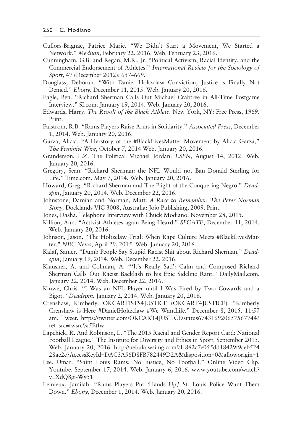- Cullors-Brignac, Patrice Marie. "We Didn't Start a Movement, We Started a Network." *Medium*, February 22, 2016. Web. February 23, 2016.
- Cunningham, G.B. and Regan, M.R., Jr. "Political Activism, Racial Identity, and the Commercial Endorsement of Athletes." *International Review for the Sociology of Sport*, 47 (December 2012): 657–669.
- Douglass, Deborah. "With Daniel Holtzclaw Conviction, Justice is Finally Not Denied." *Ebony*, December 11, 2015. Web. January 20, 2016.
- Eagle, Ben. "Richard Sherman Calls Out Michael Crabtree in All-Time Postgame Interview." SI.com. January 19, 2014. Web. January 20, 2016.
- Edwards, Harry. *The Revolt of the Black Athlete*. New York, NY: Free Press, 1969. Print.
- Falstrom, R.B. "Rams Players Raise Arms in Solidarity." *Associated Press*, December 1, 2014. Web. January 20, 2016.
- Garza, Alicia. "A Herstory of the #BlackLivesMatter Movement by Alicia Garza," *The Feminist Wire*, October 7, 2014 Web. January 20, 2016.
- Granderson, L.Z. The Political Michael Jordan. *ESPN*, August 14, 2012. Web. January 20, 2016.
- Gregory, Sean. "Richard Sherman: the NFL Would not Ban Donald Sterling for Life." Time.com. May 7, 2014. Web. January 20, 2016.
- Howard, Greg. "Richard Sherman and The Plight of the Conquering Negro." *Deadspin*, January 20, 2014. Web. December 22, 2016.
- Johnstone, Damian and Norman, Matt. *A Race to Remember: The Peter Norman Story*. Docklands VIC 3008, Australia: Jojo Publishing, 2009. Print.
- Jones, Dasha. Telephone Interview with Chuck Modiano. November 28, 2015.
- Killion, Ann. "Activist Athletes again Being Heard." *SFGATE*, December 11, 2014. Web. January 20, 2016.
- Johnson, Jason. "The Holtzclaw Trial: When Rape Culture Meets #BlackLivesMatter." *NBC News*, April 29, 2015. Web. January 20, 2016.
- Kalaf, Samer. "Dumb People Say Stupid Racist Shit about Richard Sherman." *Deadspin*, January 19, 2014. Web. December 22, 2016.
- Klausner, A. and Collman, A. "'It's Really Sad': Calm and Composed Richard Sherman Calls Out Racist Backlash to his Epic Sideline Rant." DailyMail.com. January 22, 2014. Web. December 22, 2016.
- Kluwe, Chris. "I Was an NFL Player until I Was Fired by Two Cowards and a Bigot." *Deadspin*, January 2, 2014. Web. January 20, 2016.
- Crenshaw, Kimberly. OKCARTISTS4JUSTICE (OKCART4JUSTICE). "Kimberly Crenshaw is Here #DanielHoltzclaw #We WantLife." December 8, 2015. 11:57 am. Tweet. https://twitter.com/OKCART4JUSTICE/status674316920657567744? ref\_src=twsrc%5Etfw
- Lapchick, R. And Robinson, L. "The 2015 Racial and Gender Report Card: National Football League." The Institute for Diversity and Ethics in Sport. September 2015. Web. January 20, 2016. http://nebula.wsimg.com91f862c7e055dd18429f9ceb524 28ae2c?AccessKeyId=DAC3A56D8FB782449D2A&disposition=0&alloworigin=1
- Lee, Umar. "Saint Louis Rams: No Justice, No Football." Online Video Clip. Youtube. September 17, 2014. Web. January 6, 2016. www.youtube.com/watch? v=XdQ8gi-Wy51
- Lemieux, Jamilah. "Rams Players Put 'Hands Up,' St. Louis Police Want Them Down." *Ebony*, December 1, 2014. Web. January 20, 2016.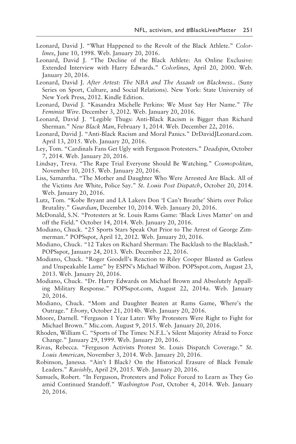- Leonard, David J. "What Happened to the Revolt of the Black Athlete." *Colorlines*, June 10, 1998. Web. January 20, 2016.
- Leonard, David J. "The Decline of the Black Athlete: An Online Exclusive: Extended Interview with Harry Edwards." *Colorlines*, April 20, 2000. Web. January 20, 2016.
- Leonard, David J. *After Artest: The NBA and The Assault on Blackness*.. (Suny Series on Sport, Culture, and Social Relations). New York: State University of New York Press, 2012. Kindle Edition.
- Leonard, David J. "Kasandra Michelle Perkins: We Must Say Her Name." *The Feminist Wire*. December 3, 2012. Web. January 20, 2016.
- Leonard, David J. "Legible Thugs: Anti-Black Racism is Bigger than Richard Sherman." *New Black Man*, February 1, 2014. Web. December 22, 2016.
- Leonard, David J. "Anti-Black Racism and Moral Panics." DrDavidJLeonard.com. April 13, 2015. Web. January 20, 2016.
- Ley, Tom. "Cardinals Fans Get Ugly with Ferguson Protesters." *Deadspin*, October 7, 2014. Web. January 20, 2016.
- Lindsay, Treva. "The Rape Trial Everyone Should Be Watching." *Cosmopolitan*, November 10, 2015. Web. January 20, 2016.
- Liss, Samantha. "The Mother and Daughter Who Were Arrested Are Black. All of the Victims Are White, Police Say." *St. Louis Post Dispatch*, October 20, 2014. Web. January 20, 2016.
- Lutz, Tom. "Kobe Bryant and LA Lakers Don 'I Can't Breathe' Shirts over Police Brutality." *Guardian*, December 10, 2014. Web. January 20, 2016.
- McDonald, S.N. "Protesters at St. Louis Rams Game: 'Black Lives Matter' on and off the Field." October 14, 2014. Web. January 20, 2016.
- Modiano, Chuck. "25 Sports Stars Speak Out Prior to The Arrest of George Zimmerman." POPSspot, April 12, 2012. Web. January 20, 2016.
- Modiano, Chuck. "12 Takes on Richard Sherman: The Backlash to the Blacklash." POPSspot, January 24, 2013*.* Web. December 22, 2016.
- Modiano, Chuck. "Roger Goodell's Reaction to Riley Cooper Blasted as Gutless and Unspeakable Lame" by ESPN's Michael Wilbon. POPSspot.com, August 23, 2013. Web. January 20, 2016.
- Modiano, Chuck. "Dr. Harry Edwards on Michael Brown and Absolutely Appalling Military Response." POPSspot.com, August 22, 2014a. Web. January 20, 2016.
- Modiano, Chuck. "Mom and Daughter Beaten at Rams Game, Where's the Outrage." *Ebony*, October 21, 2014b. Web. January 20, 2016.
- Moore, Darnell. "Ferguson 1 Year Later: Why Protesters Were Right to Fight for Michael Brown." Mic.com. August 9, 2015. Web. January 20, 2016.
- Rhoden, William C. "Sports of The Times: N.F.L.'s Silent Majority Afraid to Force Change." January 29, 1999. Web. January 20, 2016.
- Rivas, Rebecca. "Ferguson Activists Protest St. Louis Dispatch Coverage." *St. Louis American*, November 3, 2014. Web. January 20, 2016.
- Robinson, Janessa. "Ain't I Black? On the Historical Erasure of Black Female Leaders." *Ravishly*, April 29, 2015. Web. January 20, 2016.
- Samuels, Robert. "In Ferguson, Protesters and Police Forced to Learn as They Go amid Continued Standoff." *Washington Post*, October 4, 2014. Web. January 20, 2016.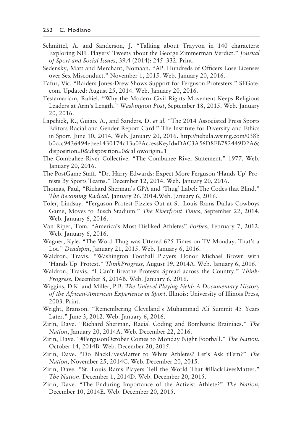- Schmittel, A. and Sanderson, J. "Talking about Trayvon in 140 characters: Exploring NFL Players' Tweets about the George Zimmerman Verdict." *Journal of Sport and Social Issues*, 39.4 (2014): 245–332. Print.
- Sedensky, Matt and Merchant, Nomaan. "AP: Hundreds of Officers Lose Licenses over Sex Misconduct." November 1, 2015. Web. January 20, 2016.
- Tafur, Vic. "Raiders Jones-Drew Shows Support for Ferguson Protesters." SFGate. com. Updated: August 25, 2014. Web. January 20, 2016.
- Tesfamariam, Rahiel. "Why the Modern Civil Rights Movement Keeps Religious Leaders at Arm's Length." *Washington Post*, September 18, 2015. Web. January 20, 2016.
- Lapchick, R., Guiao, A., and Sanders, D. *et al.* "The 2014 Associated Press Sports Editors Racial and Gender Report Card." The Institute for Diversity and Ethics in Sport. June 10, 2014, Web. January 20, 2016. http://nebula.wsimg.com/038b b0ccc9436494ebee1430174c13a0?AccessKeyId=DAC3A56D8FB782449D2A& disposition=0&disposition=0&alloworigin=1
- The Combahee River Collective. "The Combahee River Statement." 1977. Web. January 20, 2016.
- The PostGame Staff. "Dr. Harry Edwards: Expect More Ferguson 'Hands Up' Protests By Sports Teams." December 12, 2014. Web. January 20, 2016.
- Thomas, Paul, "Richard Sherman's GPA and 'Thug' Label: The Codes that Blind." *The Becoming Radical*, January 26, 2014.Web. January 6, 2016.
- Toler, Lindsay. "Ferguson Protest Fizzles Out at St. Louis Rams-Dallas Cowboys Game, Moves to Busch Stadium." *The Riverfront Times*, September 22, 2014. Web. January 6, 2016.
- Van Riper, Tom. "America's Most Disliked Athletes" *Forbes*, February 7, 2012. Web. January 6, 2016.
- Wagner, Kyle. "The Word Thug was Uttered 625 Times on TV Monday. That's a Lot." *Deadspin*, January 21, 2015. Web. January 6, 2016.
- Waldron, Travis. "Washington Football Players Honor Michael Brown with 'Hands Up' Protest." *ThinkProgress*, August 19, 2014A. Web. January 6, 2016.
- Waldron, Travis. "I Can't Breathe Protests Spread across the Country." *Think-Progress*, December 8, 2014B. Web. January 6, 2016.
- Wiggins, D.K. and Miller, P.B. *The Unlevel Playing Field: A Documentary History of the African-American Experience in Sport*. Illinois: University of Illinois Press, 2003. Print.
- Wright, Branson. "Remembering Cleveland's Muhammad Ali Summit 45 Years Later." June 3, 2012. Web. January 6, 2016.
- Zirin, Dave. "Richard Sherman, Racial Coding and Bombastic Brainiacs." *The Nation*, January 20, 2014A. Web. December 22, 2016.
- Zirin, Dave. "#FergusonOctober Comes to Monday Night Football." *The Nation*, October 14, 2014B. Web. December 20, 2015.
- Zirin, Dave. "Do BlackLivesMatter to White Athletes? Let's Ask tTem?" *The Nation*, November 25, 2014C. Web. December 20, 2015.
- Zirin, Dave. "St. Louis Rams Players Tell the World That #BlackLivesMatter." *The Nation*. December 1, 2014D. Web. December 20, 2015.
- Zirin, Dave. "The Enduring Importance of the Activist Athlete?" *The Nation*, December 10, 2014E. Web. December 20, 2015.